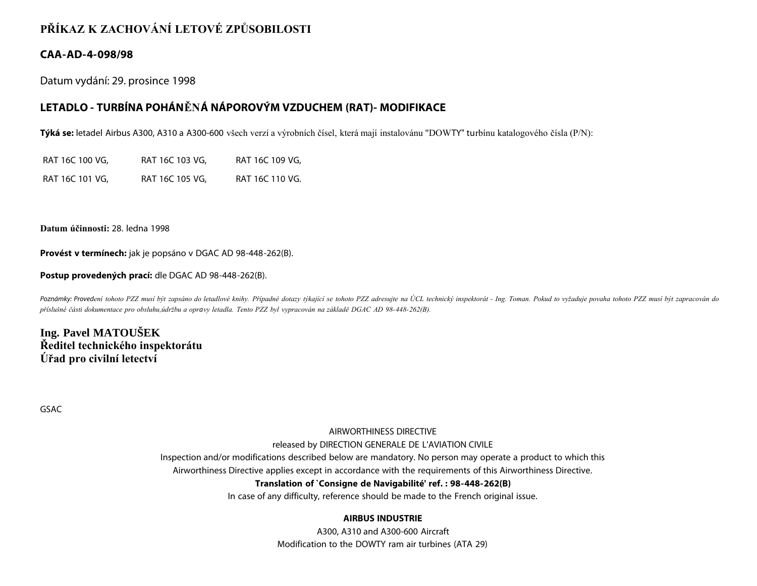# **PŘÍKAZ K ZACHOVÁNÍ LETOVÉ ZPŮSOBILOSTI**

## **CAA-AD-4-098/98**

Datum vydání: 29. prosince 1998

## **LETADLO - TURBÍNA POHÁNĚNÁ NÁPOROVÝM VZDUCHEM (RAT)- MODIFIKACE**

**Týká se:** letadel Airbus A300, A310 a A300-600 všech verzí a výrobních čísel, která mají instalovánu "DOWTY" turbínu katalogového čísla (P/N):

RAT 16C 100 VG, RAT 16C 103 VG, RAT 16C 109 VG,

RAT 16C 101 VG, RAT 16C 105 VG, RAT 16C 110 VG.

**Datum účinnosti:** 28. ledna 1998

**Provést v termínech:** jak je popsáno v DGAC AD 98-448-262(B).

**Postup provedených prací:** dle DGAC AD 98-448-262(B).

Poznámky: Provedení tohoto PZZ musí být zapsáno do letadlové knihy. Případné dotazy týkající se tohoto PZZ adresujte na ÚCL technický inspektorát - Ing. Toman. Pokud to vyžaduje povaha tohoto PZZ musí být zapracován do *příslušné části dokumentace pro obsluhu,údržbu a opravy letadla. Tento PZZ byl vypracován na základě DGAC AD 98-448-262(B).*

**Ing. Pavel MATOUŠEK Ředitel technického inspektorátu Úřad pro civilní letectví**

GSAC

AIRWORTHINESS DIRECTIVE

released by DIRECTION GENERALE DE L'AVIATION CIVILE

Inspection and/or modifications described below are mandatory. No person may operate a product to which this

Airworthiness Directive applies except in accordance with the requirements of this Airworthiness Directive.

### **Translation of `Consigne de Navigabilité' ref. : 98-448-262(B)**

In case of any difficulty, reference should be made to the French original issue.

## **AIRBUS INDUSTRIE**

A300, A310 and A300-600 Aircraft Modification to the DOWTY ram air turbines (ATA 29)